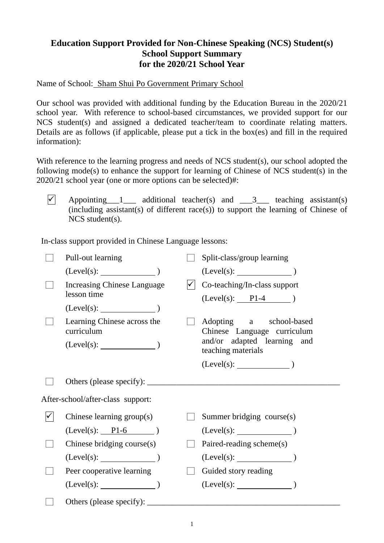## **Education Support Provided for Non-Chinese Speaking (NCS) Student(s) School Support Summary for the 2020/21 School Year**

Name of School: Sham Shui Po Government Primary School

Our school was provided with additional funding by the Education Bureau in the 2020/21 school year. With reference to school-based circumstances, we provided support for our NCS student(s) and assigned a dedicated teacher/team to coordinate relating matters. Details are as follows (if applicable, please put a tick in the box(es) and fill in the required information):

With reference to the learning progress and needs of NCS student(s), our school adopted the following mode(s) to enhance the support for learning of Chinese of NCS student(s) in the 2020/21 school year (one or more options can be selected)#:

 $\vert \checkmark \vert$  Appointing 1 additional teacher(s) and 3 teaching assistant(s) (including assistant(s) of different race(s)) to support the learning of Chinese of NCS student(s).

In-class support provided in Chinese Language lessons:

| Pull-out learning                         |  | Split-class/group learning                                                                                  |  |
|-------------------------------------------|--|-------------------------------------------------------------------------------------------------------------|--|
| $(Level(s):$ (Level(s): $)$               |  | $(Level(s):$ $)$                                                                                            |  |
| <b>Increasing Chinese Language</b>        |  | Co-teaching/In-class support                                                                                |  |
| lesson time                               |  | $(Level(s):$ P1-4 )                                                                                         |  |
| $(Level(s):$ $)$                          |  |                                                                                                             |  |
| Learning Chinese across the<br>curriculum |  | Adopting a school-based<br>Chinese Language curriculum<br>and/or adapted learning and<br>teaching materials |  |
| $(Level(s):$ $)$                          |  |                                                                                                             |  |
|                                           |  | $(Level(s):$ (Level(s): $)$                                                                                 |  |
|                                           |  |                                                                                                             |  |
| After-school/after-class support:         |  |                                                                                                             |  |
| Chinese learning $group(s)$               |  | Summer bridging course(s)                                                                                   |  |
| $(Level(s):$ $P1-6$ )                     |  | $(Level(s):$ $)$                                                                                            |  |
| Chinese bridging course(s)                |  | Paired-reading scheme(s)                                                                                    |  |
| $(Level(s):$ )                            |  | $(Level(s):$ (Level(s):                                                                                     |  |
| Peer cooperative learning                 |  | Guided story reading                                                                                        |  |
| $(Level(s):$ (Level(s):                   |  | $(Level(s):$ (Level(s):                                                                                     |  |
|                                           |  |                                                                                                             |  |